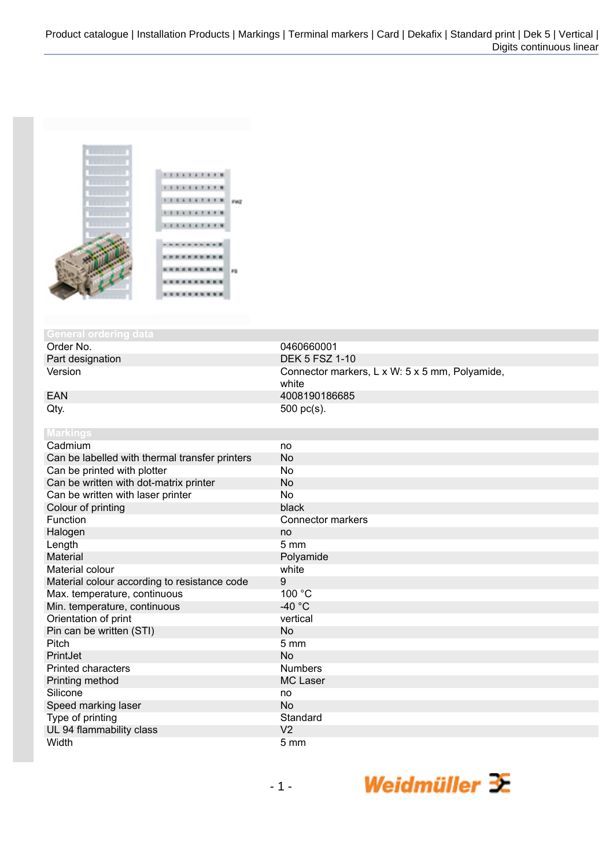

# **General ordering**

Part designation<br>Version

 $Qty.$  500 pc(s). **Markings**

| Cadmium                                        | no                       |
|------------------------------------------------|--------------------------|
| Can be labelled with thermal transfer printers | <b>No</b>                |
| Can be printed with plotter                    | No                       |
| Can be written with dot-matrix printer         | <b>No</b>                |
| Can be written with laser printer              | <b>No</b>                |
| Colour of printing                             | black                    |
| Function                                       | <b>Connector markers</b> |
| Halogen                                        | no                       |
| Length                                         | 5 <sub>mm</sub>          |
| <b>Material</b>                                | Polyamide                |
| Material colour                                | white                    |
| Material colour according to resistance code   | 9                        |
| Max. temperature, continuous                   | 100 °C                   |
| Min. temperature, continuous                   | -40 $^{\circ}$ C         |
| Orientation of print                           | vertical                 |
| Pin can be written (STI)                       | <b>No</b>                |
| Pitch                                          | 5 <sub>mm</sub>          |
| PrintJet                                       | No                       |
| <b>Printed characters</b>                      | <b>Numbers</b>           |
| Printing method                                | <b>MC Laser</b>          |
| Silicone                                       | no                       |
| Speed marking laser                            | <b>No</b>                |
| Type of printing                               | Standard                 |
| UL 94 flammability class                       | V <sub>2</sub>           |
| Width                                          | 5 <sub>mm</sub>          |

0460660001<br>DEK 5 FSZ 1-10 Connector markers, L x W: 5 x 5 mm, Polyamide, white EAN 4008190186685

| -40 $\degree$ C |
|-----------------|
| vertical        |
| <b>No</b>       |
| 5 <sub>mm</sub> |
| <b>No</b>       |
| <b>Numbers</b>  |
| MC Laser        |
| no              |
| <b>No</b>       |
| Standard        |
| V <sub>2</sub>  |
| 5 <sub>mm</sub> |
|                 |
|                 |